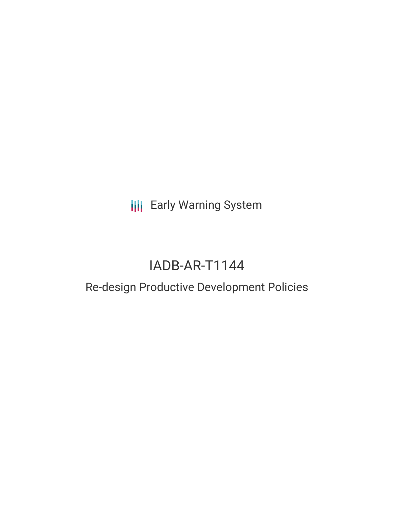**III** Early Warning System

# IADB-AR-T1144

## Re-design Productive Development Policies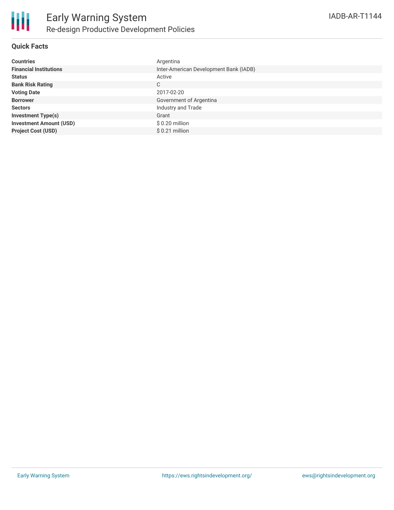

### **Quick Facts**

| <b>Countries</b>               | Argentina                              |
|--------------------------------|----------------------------------------|
| <b>Financial Institutions</b>  | Inter-American Development Bank (IADB) |
| <b>Status</b>                  | Active                                 |
| <b>Bank Risk Rating</b>        | C                                      |
| <b>Voting Date</b>             | 2017-02-20                             |
| <b>Borrower</b>                | Government of Argentina                |
| <b>Sectors</b>                 | Industry and Trade                     |
| <b>Investment Type(s)</b>      | Grant                                  |
| <b>Investment Amount (USD)</b> | $$0.20$ million                        |
| <b>Project Cost (USD)</b>      | $$0.21$ million                        |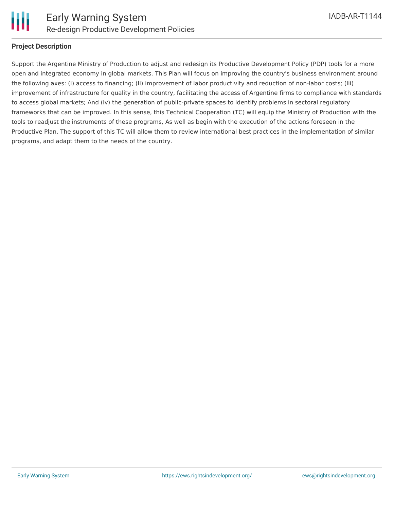

### **Project Description**

Support the Argentine Ministry of Production to adjust and redesign its Productive Development Policy (PDP) tools for a more open and integrated economy in global markets. This Plan will focus on improving the country's business environment around the following axes: (i) access to financing; (Ii) improvement of labor productivity and reduction of non-labor costs; (Iii) improvement of infrastructure for quality in the country, facilitating the access of Argentine firms to compliance with standards to access global markets; And (iv) the generation of public-private spaces to identify problems in sectoral regulatory frameworks that can be improved. In this sense, this Technical Cooperation (TC) will equip the Ministry of Production with the tools to readjust the instruments of these programs, As well as begin with the execution of the actions foreseen in the Productive Plan. The support of this TC will allow them to review international best practices in the implementation of similar programs, and adapt them to the needs of the country.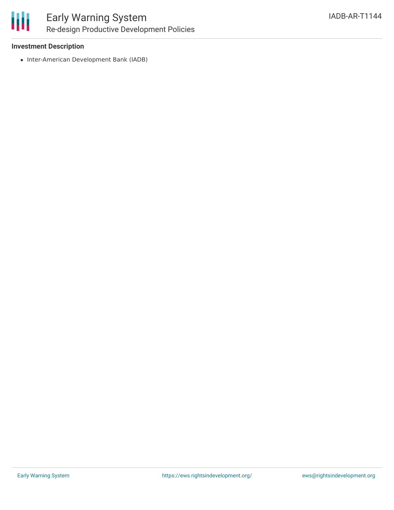

### Early Warning System Re-design Productive Development Policies

### **Investment Description**

• Inter-American Development Bank (IADB)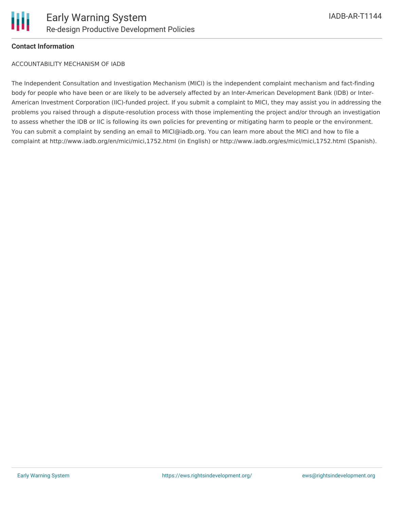

### **Contact Information**

ACCOUNTABILITY MECHANISM OF IADB

The Independent Consultation and Investigation Mechanism (MICI) is the independent complaint mechanism and fact-finding body for people who have been or are likely to be adversely affected by an Inter-American Development Bank (IDB) or Inter-American Investment Corporation (IIC)-funded project. If you submit a complaint to MICI, they may assist you in addressing the problems you raised through a dispute-resolution process with those implementing the project and/or through an investigation to assess whether the IDB or IIC is following its own policies for preventing or mitigating harm to people or the environment. You can submit a complaint by sending an email to MICI@iadb.org. You can learn more about the MICI and how to file a complaint at http://www.iadb.org/en/mici/mici,1752.html (in English) or http://www.iadb.org/es/mici/mici,1752.html (Spanish).